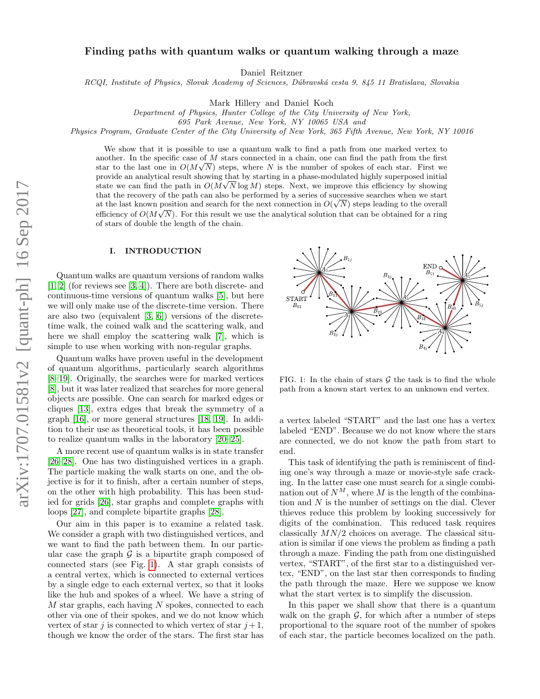# Finding paths with quantum walks or quantum walking through a maze

Daniel Reitzner

RCQI, Institute of Physics, Slovak Academy of Sciences, Dúbravská cesta 9, 845 11 Bratislava, Slovakia

Mark Hillery and Daniel Koch

Department of Physics, Hunter College of the City University of New York,

695 Park Avenue, New York, NY 10065 USA and

Physics Program, Graduate Center of the City University of New York, 365 Fifth Avenue, New York, NY 10016

We show that it is possible to use a quantum walk to find a path from one marked vertex to another. In the specific case of  $M$  stars connected in a chain, one can find the path from the first star to the last one in  $O(M\sqrt{N})$  steps, where N is the number of spokes of each star. First we provide an analytical result showing that by starting in a phase-modulated highly superposed initial state we can find the path in  $O(M\sqrt{N}\log M)$  steps. Next, we improve this efficiency by showing that the recovery of the path can also be performed by a series of successive searches when we start at the last known position and search for the next connection in  $O(\sqrt{N})$  steps leading to the overall efficiency of  $O(M\sqrt{N})$ . For this result we use the analytical solution that can be obtained for a ring of stars of double the length of the chain.

#### I. INTRODUCTION

Quantum walks are quantum versions of random walks [\[1,](#page-8-0) [2\]](#page-8-1) (for reviews see [\[3,](#page-8-2) [4\]](#page-8-3)). There are both discrete- and continuous-time versions of quantum walks [\[5\]](#page-8-4), but here we will only make use of the discrete-time version. There are also two (equivalent [\[3,](#page-8-2) [6\]](#page-8-5)) versions of the discretetime walk, the coined walk and the scattering walk, and here we shall employ the scattering walk [\[7\]](#page-8-6), which is simple to use when working with non-regular graphs.

Quantum walks have proven useful in the development of quantum algorithms, particularly search algorithms [\[8–](#page-8-7)[19\]](#page-9-0). Originally, the searches were for marked vertices [\[8\]](#page-8-7), but it was later realized that searches for more general objects are possible. One can search for marked edges or cliques [\[13\]](#page-9-1), extra edges that break the symmetry of a graph [\[16\]](#page-9-2), or more general structures [\[18,](#page-9-3) [19\]](#page-9-0). In addition to their use as theoretical tools, it has been possible to realize quantum walks in the laboratory [\[20–](#page-9-4)[25\]](#page-9-5).

A more recent use of quantum walks is in state transfer [\[26–](#page-9-6)[28\]](#page-9-7). One has two distinguished vertices in a graph. The particle making the walk starts on one, and the objective is for it to finish, after a certain number of steps, on the other with high probability. This has been studied for grids [\[26\]](#page-9-6), star graphs and complete graphs with loops [\[27\]](#page-9-8), and complete bipartite graphs [\[28\]](#page-9-7).

Our aim in this paper is to examine a related task. We consider a graph with two distinguished vertices, and we want to find the path between them. In our particular case the graph  $\mathcal G$  is a bipartite graph composed of connected stars (see Fig. [1\)](#page-0-0). A star graph consists of a central vertex, which is connected to external vertices by a single edge to each external vertex, so that it looks like the hub and spokes of a wheel. We have a string of  $M$  star graphs, each having  $N$  spokes, connected to each other via one of their spokes, and we do not know which vertex of star j is connected to which vertex of star  $j+1$ , though we know the order of the stars. The first star has



<span id="page-0-0"></span>FIG. 1: In the chain of stars  $G$  the task is to find the whole path from a known start vertex to an unknown end vertex.

a vertex labeled "START" and the last one has a vertex labeled "END". Because we do not know where the stars are connected, we do not know the path from start to end.

This task of identifying the path is reminiscent of finding one's way through a maze or movie-style safe cracking. In the latter case one must search for a single combination out of  $N^M$ , where M is the length of the combination and N is the number of settings on the dial. Clever thieves reduce this problem by looking successively for digits of the combination. This reduced task requires classically  $MN/2$  choices on average. The classical situation is similar if one views the problem as finding a path through a maze. Finding the path from one distinguished vertex, "START", of the first star to a distinguished vertex, "END", on the last star then corresponds to finding the path through the maze. Here we suppose we know what the start vertex is to simplify the discussion.

In this paper we shall show that there is a quantum walk on the graph  $\mathcal{G}$ , for which after a number of steps proportional to the square root of the number of spokes of each star, the particle becomes localized on the path.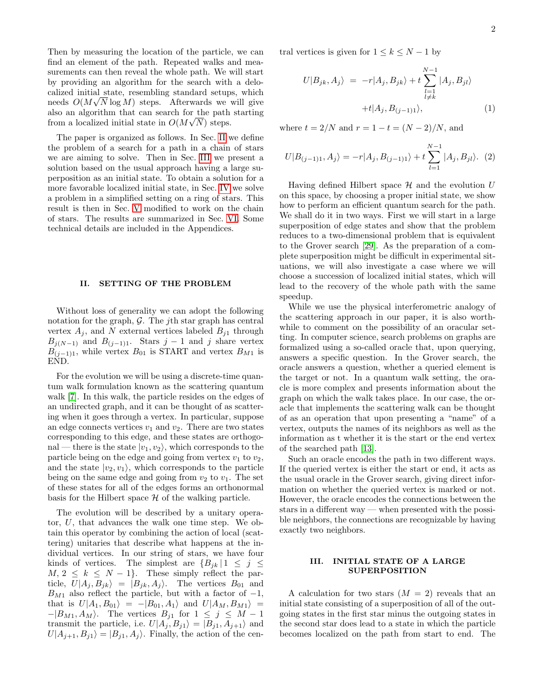Then by measuring the location of the particle, we can find an element of the path. Repeated walks and measurements can then reveal the whole path. We will start by providing an algorithm for the search with a delocalized initial state, resembling standard setups, which √ needs  $O(M\sqrt{N}\log M)$  steps. Afterwards we will give also an algorithm that can search for the path starting from a localized initial state in  $O(M\sqrt{N})$  steps.

The paper is organized as follows. In Sec. [II](#page-1-0) we define the problem of a search for a path in a chain of stars we are aiming to solve. Then in Sec. [III](#page-1-1) we present a solution based on the usual approach having a large superposition as an initial state. To obtain a solution for a more favorable localized initial state, in Sec. [IV](#page-2-0) we solve a problem in a simplified setting on a ring of stars. This result is then in Sec. [V](#page-4-0) modified to work on the chain of stars. The results are summarized in Sec. [VI.](#page-7-0) Some technical details are included in the Appendices.

### <span id="page-1-0"></span>II. SETTING OF THE PROBLEM

Without loss of generality we can adopt the following notation for the graph,  $\mathcal{G}$ . The *j*th star graph has central vertex  $A_i$ , and N external vertices labeled  $B_{i1}$  through  $B_{j(N-1)}$  and  $B_{(j-1)1}$ . Stars j – 1 and j share vertex  $B_{(j-1)1}$ , while vertex  $B_{01}$  is START and vertex  $B_{M1}$  is END.

For the evolution we will be using a discrete-time quantum walk formulation known as the scattering quantum walk [\[7\]](#page-8-6). In this walk, the particle resides on the edges of an undirected graph, and it can be thought of as scattering when it goes through a vertex. In particular, suppose an edge connects vertices  $v_1$  and  $v_2$ . There are two states corresponding to this edge, and these states are orthogonal — there is the state  $|v_1, v_2\rangle$ , which corresponds to the particle being on the edge and going from vertex  $v_1$  to  $v_2$ , and the state  $|v_2, v_1\rangle$ , which corresponds to the particle being on the same edge and going from  $v_2$  to  $v_1$ . The set of these states for all of the edges forms an orthonormal basis for the Hilbert space  $H$  of the walking particle.

The evolution will be described by a unitary operator, U, that advances the walk one time step. We obtain this operator by combining the action of local (scattering) unitaries that describe what happens at the individual vertices. In our string of stars, we have four kinds of vertices. The simplest are  ${B_{jk} | 1 \leq j \leq j}$  $M, 2 \leq k \leq N-1$ . These simply reflect the particle,  $U|A_i, B_{ik}\rangle = |B_{ik}, A_i\rangle$ . The vertices  $B_{01}$  and  $B_{M1}$  also reflect the particle, but with a factor of  $-1$ , that is  $U|A_1, B_{01} \rangle = -|B_{01}, A_1 \rangle$  and  $U|A_M, B_{M1} \rangle =$  $-|B_{M1}, A_M\rangle$ . The vertices  $B_{j1}$  for  $1 \leq j \leq M-1$ transmit the particle, i.e.  $U|A_j, B_{j1} \rangle = |B_{j1}, A_{j+1} \rangle$  and  $U|A_{j+1}, B_{j1} \rangle = |B_{j1}, A_j \rangle$ . Finally, the action of the central vertices is given for  $1 \leq k \leq N-1$  by

<span id="page-1-2"></span>
$$
U|B_{jk}, A_j\rangle = -r|A_j, B_{jk}\rangle + t \sum_{\substack{l=1 \ l \neq k}}^{N-1} |A_j, B_{jl}\rangle
$$
  
+ $t|A_j, B_{(j-1)1}\rangle$ , (1)

where  $t = 2/N$  and  $r = 1 - t = (N - 2)/N$ , and

<span id="page-1-3"></span>
$$
U|B_{(j-1)1}, A_j\rangle = -r|A_j, B_{(j-1)1}\rangle + t\sum_{l=1}^{N-1} |A_j, B_{jl}\rangle. (2)
$$

Having defined Hilbert space  $\mathcal H$  and the evolution U on this space, by choosing a proper initial state, we show how to perform an efficient quantum search for the path. We shall do it in two ways. First we will start in a large superposition of edge states and show that the problem reduces to a two-dimensional problem that is equivalent to the Grover search [\[29\]](#page-9-9). As the preparation of a complete superposition might be difficult in experimental situations, we will also investigate a case where we will choose a succession of localized initial states, which will lead to the recovery of the whole path with the same speedup.

While we use the physical interferometric analogy of the scattering approach in our paper, it is also worthwhile to comment on the possibility of an oracular setting. In computer science, search problems on graphs are formalized using a so-called oracle that, upon querying, answers a specific question. In the Grover search, the oracle answers a question, whether a queried element is the target or not. In a quantum walk setting, the oracle is more complex and presents information about the graph on which the walk takes place. In our case, the oracle that implements the scattering walk can be thought of as an operation that upon presenting a "name" of a vertex, outputs the names of its neighbors as well as the information as t whether it is the start or the end vertex of the searched path [\[13\]](#page-9-1).

Such an oracle encodes the path in two different ways. If the queried vertex is either the start or end, it acts as the usual oracle in the Grover search, giving direct information on whether the queried vertex is marked or not. However, the oracle encodes the connections between the stars in a different way — when presented with the possible neighbors, the connections are recognizable by having exactly two neighbors.

### <span id="page-1-1"></span>III. INITIAL STATE OF A LARGE SUPERPOSITION

A calculation for two stars  $(M = 2)$  reveals that an initial state consisting of a superposition of all of the outgoing states in the first star minus the outgoing states in the second star does lead to a state in which the particle becomes localized on the path from start to end. The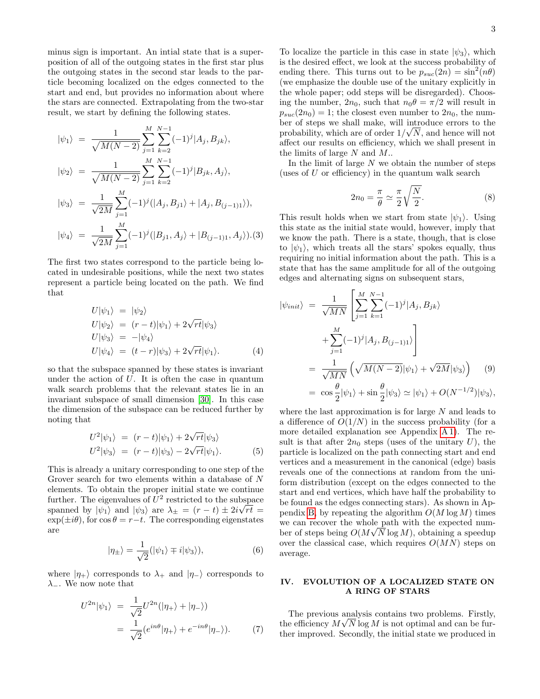minus sign is important. An intial state that is a superposition of all of the outgoing states in the first star plus the outgoing states in the second star leads to the particle becoming localized on the edges connected to the start and end, but provides no information about where the stars are connected. Extrapolating from the two-star result, we start by defining the following states.

$$
|\psi_1\rangle = \frac{1}{\sqrt{M(N-2)}} \sum_{j=1}^{M} \sum_{k=2}^{N-1} (-1)^j |A_j, B_{jk}\rangle,
$$
  

$$
|\psi_2\rangle = \frac{1}{\sqrt{M(N-2)}} \sum_{k=1}^{M} \sum_{k=1}^{N-1} (-1)^j |B_{jk}, A_j\rangle,
$$

$$
\sqrt{M(N-2)} \sum_{j=1}^{N} \sum_{k=2}^{N} \langle \begin{array}{c} \lambda_j | \ \nu_{jk}, \nu_{jj} \end{array} \rangle,
$$
  
\n
$$
|\psi_3\rangle = \frac{1}{\sqrt{2M}} \sum_{j=1}^{M} (-1)^j (|A_j, B_{j1}\rangle + |A_j, B_{(j-1)1}\rangle),
$$
  
\n
$$
|\psi_4\rangle = \frac{1}{\sqrt{2M}} \sum_{j=1}^{M} (-1)^j (|B_{j1}, A_j\rangle + |B_{(j-1)1}, A_j\rangle). (3)
$$

The first two states correspond to the particle being located in undesirable positions, while the next two states represent a particle being located on the path. We find that

$$
U|\psi_1\rangle = |\psi_2\rangle
$$
  
\n
$$
U|\psi_2\rangle = (r-t)|\psi_1\rangle + 2\sqrt{rt}|\psi_3\rangle
$$
  
\n
$$
U|\psi_3\rangle = -|\psi_4\rangle
$$
  
\n
$$
U|\psi_4\rangle = (t-r)|\psi_3\rangle + 2\sqrt{rt}|\psi_1\rangle.
$$
 (4)

so that the subspace spanned by these states is invariant under the action of  $U$ . It is often the case in quantum walk search problems that the relevant states lie in an invariant subspace of small dimension [\[30\]](#page-9-10). In this case the dimension of the subspace can be reduced further by noting that

$$
U^2|\psi_1\rangle = (r-t)|\psi_1\rangle + 2\sqrt{rt}|\psi_3\rangle
$$
  

$$
U^2|\psi_3\rangle = (r-t)|\psi_3\rangle - 2\sqrt{rt}|\psi_1\rangle.
$$
 (5)

This is already a unitary corresponding to one step of the Grover search for two elements within a database of N elements. To obtain the proper initial state we continue further. The eigenvalues of  $U^2$  restricted to the subspace spanned by  $|\psi_1\rangle$  and  $|\psi_3\rangle$  are  $\lambda_{\pm} = (r - t) \pm 2i\sqrt{rt} =$  $\exp(\pm i\theta)$ , for  $\cos \theta = r-t$ . The corresponding eigenstates are

$$
|\eta_{\pm}\rangle = \frac{1}{\sqrt{2}} (|\psi_1\rangle \mp i|\psi_3\rangle), \tag{6}
$$

where  $|\eta_+\rangle$  corresponds to  $\lambda_+$  and  $|\eta_-\rangle$  corresponds to  $\lambda_-\$ . We now note that

$$
U^{2n}|\psi_1\rangle = \frac{1}{\sqrt{2}}U^{2n}(|\eta_+\rangle + |\eta_-\rangle)
$$
  
= 
$$
\frac{1}{\sqrt{2}}(e^{in\theta}|\eta_+\rangle + e^{-in\theta}|\eta_-\rangle).
$$
 (7)

To localize the particle in this case in state  $|\psi_3\rangle$ , which is the desired effect, we look at the success probability of ending there. This turns out to be  $p_{suc}(2n) = \sin^2(n\theta)$ (we emphasize the double use of the unitary explicitly in the whole paper; odd steps will be disregarded). Choosing the number,  $2n_0$ , such that  $n_0\theta = \pi/2$  will result in  $p_{suc}(2n_0) = 1$ ; the closest even number to  $2n_0$ , the number of steps we shall make, will introduce errors to the √ probability, which are of order  $1/\sqrt{N}$ , and hence will not affect our results on efficiency, which we shall present in the limits of large  $N$  and  $M$ ..

In the limit of large  $N$  we obtain the number of steps (uses of  $U$  or efficiency) in the quantum walk search

$$
2n_0 = \frac{\pi}{\theta} \simeq \frac{\pi}{2} \sqrt{\frac{N}{2}}.\tag{8}
$$

This result holds when we start from state  $|\psi_1\rangle$ . Using this state as the initial state would, however, imply that we know the path. There is a state, though, that is close to  $|\psi_1\rangle$ , which treats all the stars' spokes equally, thus requiring no initial information about the path. This is a state that has the same amplitude for all of the outgoing edges and alternating signs on subsequent stars,

<span id="page-2-1"></span>
$$
\begin{split}\n\left|\psi_{init}\right\rangle &= \frac{1}{\sqrt{MN}} \left[ \sum_{j=1}^{M} \sum_{k=1}^{N-1} (-1)^j |A_j, B_{jk}\rangle \right. \\
&\quad \left. + \sum_{j=1}^{M} (-1)^j |A_j, B_{(j-1)1}\rangle \right] \\
&= \frac{1}{\sqrt{MN}} \left( \sqrt{M(N-2)} |\psi_1\rangle + \sqrt{2M} |\psi_3\rangle \right) \quad (9) \\
&= \cos\frac{\theta}{2} |\psi_1\rangle + \sin\frac{\theta}{2} |\psi_3\rangle \simeq |\psi_1\rangle + O(N^{-1/2}) |\psi_3\rangle,\n\end{split}
$$

where the last approximation is for large  $N$  and leads to a difference of  $O(1/N)$  in the success probability (for a more detailed explanation see Appendix [A 1\)](#page-7-1). The result is that after  $2n_0$  steps (uses of the unitary U), the particle is localized on the path connecting start and end vertices and a measurement in the canonical (edge) basis reveals one of the connections at random from the uniform distribution (except on the edges connected to the start and end vertices, which have half the probability to be found as the edges connecting stars). As shown in Ap-pendix [B,](#page-8-8) by repeating the algorithm  $O(M \log M)$  times we can recover the whole path with the expected number of steps being  $O(M\sqrt{N}\log M)$ , obtaining a speedup over the classical case, which requires  $O(MN)$  steps on average.

## <span id="page-2-0"></span>IV. EVOLUTION OF A LOCALIZED STATE ON A RING OF STARS

The previous analysis contains two problems. Firstly, the efficiency  $M\sqrt{N} \log M$  is not optimal and can be further improved. Secondly, the initial state we produced in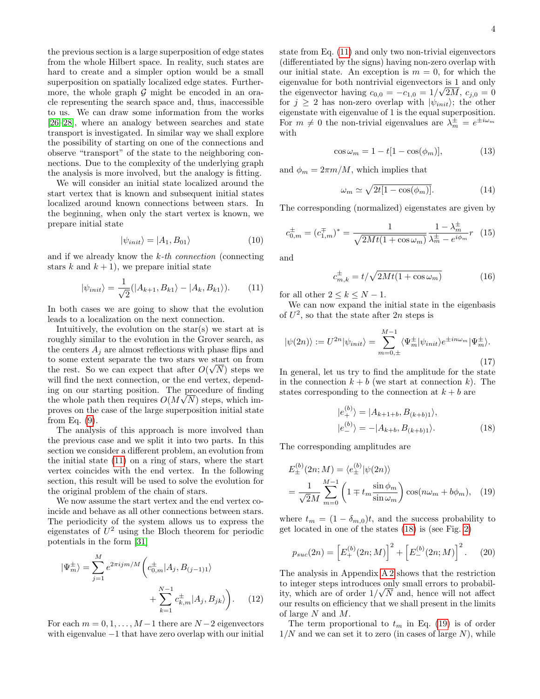the previous section is a large superposition of edge states from the whole Hilbert space. In reality, such states are hard to create and a simpler option would be a small superposition on spatially localized edge states. Furthermore, the whole graph  $G$  might be encoded in an oracle representing the search space and, thus, inaccessible to us. We can draw some information from the works [\[26–](#page-9-6)[28\]](#page-9-7), where an analogy between searches and state transport is investigated. In similar way we shall explore the possibility of starting on one of the connections and observe "transport" of the state to the neighboring connections. Due to the complexity of the underlying graph the analysis is more involved, but the analogy is fitting.

We will consider an initial state localized around the start vertex that is known and subsequent initial states localized around known connections between stars. In the beginning, when only the start vertex is known, we prepare initial state

<span id="page-3-5"></span>
$$
|\psi_{init}\rangle = |A_1, B_{01}\rangle \tag{10}
$$

and if we already know the  $k$ -th connection (connecting stars k and  $k + 1$ , we prepare initial state

<span id="page-3-0"></span>
$$
|\psi_{init}\rangle = \frac{1}{\sqrt{2}}(|A_{k+1}, B_{k1}\rangle - |A_k, B_{k1}\rangle). \tag{11}
$$

In both cases we are going to show that the evolution leads to a localization on the next connection.

Intuitively, the evolution on the star(s) we start at is roughly similar to the evolution in the Grover search, as the centers  $A_i$  are almost reflections with phase flips and to some extent separate the two stars we start on from the rest. So we can expect that after  $O(\sqrt{N})$  steps we will find the next connection, or the end vertex, depending on our starting position. The procedure of finding √ the whole path then requires  $O(M\sqrt{N})$  steps, which improves on the case of the large superposition initial state from Eq. [\(9\)](#page-2-1).

The analysis of this approach is more involved than the previous case and we split it into two parts. In this section we consider a different problem, an evolution from the initial state [\(11\)](#page-3-0) on a ring of stars, where the start vertex coincides with the end vertex. In the following section, this result will be used to solve the evolution for the original problem of the chain of stars.

We now assume the start vertex and the end vertex coincide and behave as all other connections between stars. The periodicity of the system allows us to express the eigenstates of  $U^2$  using the Bloch theorem for periodic potentials in the form [\[31\]](#page-9-11)

$$
|\Psi_m^{\pm}\rangle = \sum_{j=1}^M e^{2\pi i j m/M} \left(c_{0,m}^{\pm}|A_j, B_{(j-1)1}\rangle + \sum_{k=1}^{N-1} c_{k,m}^{\pm}|A_j, B_{jk}\rangle\right).
$$
 (12)

For each  $m = 0, 1, \ldots, M-1$  there are  $N-2$  eigenvectors with eigenvalue  $-1$  that have zero overlap with our initial state from Eq. [\(11\)](#page-3-0) and only two non-trivial eigenvectors (differentiated by the signs) having non-zero overlap with our initial state. An exception is  $m = 0$ , for which the eigenvalue for both nontrivial eigenvectors is  $\frac{1}{\sqrt{2}}$  and only the eigenvector having  $c_{0,0} = -c_{1,0} = 1/\sqrt{2M}$ ,  $c_{j,0} = 0$ for  $j \geq 2$  has non-zero overlap with  $|\psi_{init}\rangle$ ; the other eigenstate with eigenvalue of 1 is the equal superposition. For  $m \neq 0$  the non-trivial eigenvalues are  $\lambda_m^{\pm} = e^{\pm i \omega_m}$ with

$$
\cos \omega_m = 1 - t[1 - \cos(\phi_m)],\tag{13}
$$

and  $\phi_m = 2\pi m/M$ , which implies that

<span id="page-3-4"></span>
$$
\omega_m \simeq \sqrt{2t[1 - \cos(\phi_m)]}.\tag{14}
$$

The corresponding (normalized) eigenstates are given by

$$
c_{0,m}^{\pm} = (c_{1,m}^{\mp})^* = \frac{1}{\sqrt{2Mt(1 + \cos \omega_m)}} \frac{1 - \lambda_m^{\pm}}{\lambda_m^{\pm} - e^{i\phi_m}} r \quad (15)
$$

and

$$
c_{m,k}^{\pm} = t/\sqrt{2Mt(1 + \cos \omega_m)}
$$
 (16)

for all other  $2 \leq k \leq N-1$ .

We can now expand the initial state in the eigenbasis of  $U^2$ , so that the state after  $2n$  steps is

$$
|\psi(2n)\rangle := U^{2n}|\psi_{init}\rangle = \sum_{m=0,\pm}^{M-1} \langle \Psi_m^{\pm}|\psi_{init}\rangle e^{\pm in\omega_m}|\Psi_m^{\pm}\rangle.
$$
\n(17)

In general, let us try to find the amplitude for the state in the connection  $k + b$  (we start at connection k). The states corresponding to the connection at  $k + b$  are

<span id="page-3-2"></span><span id="page-3-1"></span>
$$
|e_{+}^{(b)}\rangle = |A_{k+1+b}, B_{(k+b)1}\rangle,
$$
  

$$
|e_{-}^{(b)}\rangle = -|A_{k+b}, B_{(k+b)1}\rangle.
$$
 (18)

The corresponding amplitudes are

$$
E_{\pm}^{(b)}(2n; M) = \langle e_{\pm}^{(b)} | \psi(2n) \rangle
$$
  
= 
$$
\frac{1}{\sqrt{2}M} \sum_{m=0}^{M-1} \left( 1 \mp t_m \frac{\sin \phi_m}{\sin \omega_m} \right) \cos(n\omega_m + b\phi_m), \quad (19)
$$

where  $t_m = (1 - \delta_{m,0})t$ , and the success probability to get located in one of the states [\(18\)](#page-3-1) is (see Fig. [2\)](#page-4-1)

<span id="page-3-3"></span>
$$
p_{suc}(2n) = \left[E_+^{(b)}(2n;M)\right]^2 + \left[E_-^{(b)}(2n;M)\right]^2.
$$
 (20)

The analysis in Appendix [A 2](#page-7-2) shows that the restriction to integer steps introduces only small errors to probabil-√ ity, which are of order  $1/\sqrt{N}$  and, hence will not affect our results on efficiency that we shall present in the limits of large N and M.

The term proportional to  $t_m$  in Eq. [\(19\)](#page-3-2) is of order  $1/N$  and we can set it to zero (in cases of large N), while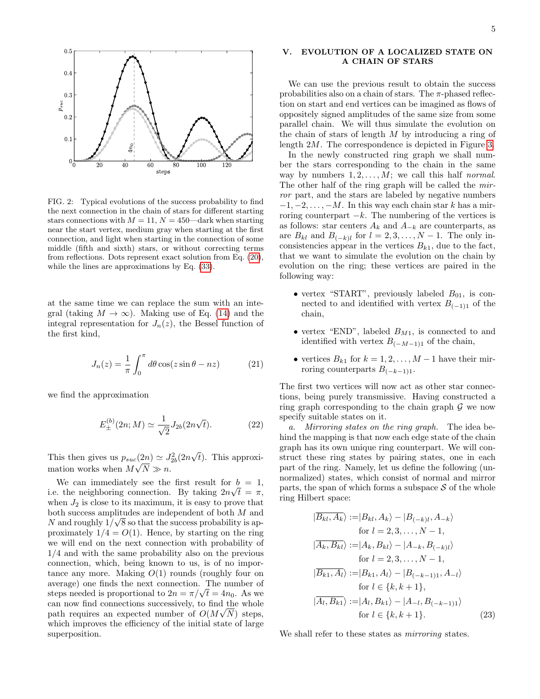

<span id="page-4-1"></span>FIG. 2: Typical evolutions of the success probability to find the next connection in the chain of stars for different starting stars connections with  $M = 11$ ,  $N = 450$ —dark when starting near the start vertex, medium gray when starting at the first connection, and light when starting in the connection of some middle (fifth and sixth) stars, or without correcting terms from reflections. Dots represent exact solution from Eq. [\(20\)](#page-3-3), while the lines are approximations by Eq. [\(33\)](#page-6-0).

at the same time we can replace the sum with an integral (taking  $M \to \infty$ ). Making use of Eq. [\(14\)](#page-3-4) and the integral representation for  $J_n(z)$ , the Bessel function of the first kind,

$$
J_n(z) = \frac{1}{\pi} \int_0^{\pi} d\theta \cos(z \sin \theta - nz)
$$
 (21)

we find the approximation

<span id="page-4-2"></span>
$$
E_{\pm}^{(b)}(2n;M) \simeq \frac{1}{\sqrt{2}} J_{2b}(2n\sqrt{t}).
$$
 (22)

This then gives us  $p_{suc}(2n) \simeq J_{2b}^2(2n)$ √  $t_0(2n) \simeq J_{2b}^2(2n\sqrt{t})$ . This approximation works when  $M\sqrt{N} \gg n$ .

We can immediately see the first result for  $b = 1$ , i.e. the neighboring connection. By taking  $2n\sqrt{t} = \pi$ , when  $J_2$  is close to its maximum, it is easy to prove that both success amplitudes are independent of both  $M$  and N and roughly  $1/\sqrt{8}$  so that the success probability is approximately  $1/4 = O(1)$ . Hence, by starting on the ring we will end on the next connection with probability of 1/4 and with the same probability also on the previous connection, which, being known to us, is of no importance any more. Making  $O(1)$  rounds (roughly four on average) one finds the next connection. The number of average) one nnds the next connection. The number of steps needed is proportional to  $2n = \pi/\sqrt{t} = 4n_0$ . As we can now find connections successively, to find the whole path requires an expected number of  $O(M\sqrt{N})$  steps, which improves the efficiency of the initial state of large superposition.

## <span id="page-4-0"></span>V. EVOLUTION OF A LOCALIZED STATE ON A CHAIN OF STARS

We can use the previous result to obtain the success probabilities also on a chain of stars. The  $\pi$ -phased reflection on start and end vertices can be imagined as flows of oppositely signed amplitudes of the same size from some parallel chain. We will thus simulate the evolution on the chain of stars of length M by introducing a ring of length 2M. The correspondence is depicted in Figure [3.](#page-5-0)

In the newly constructed ring graph we shall number the stars corresponding to the chain in the same way by numbers  $1, 2, \ldots, M$ ; we call this half normal. The other half of the ring graph will be called the mirror part, and the stars are labeled by negative numbers  $-1, -2, \ldots, -M$ . In this way each chain star k has a mirroring counterpart  $-k$ . The numbering of the vertices is as follows: star centers  $A_k$  and  $A_{-k}$  are counterparts, as are  $B_{kl}$  and  $B_{(-k)l}$  for  $l = 2, 3, ..., N - 1$ . The only inconsistencies appear in the vertices  $B_{k1}$ , due to the fact, that we want to simulate the evolution on the chain by evolution on the ring; these vertices are paired in the following way:

- vertex "START", previously labeled  $B_{01}$ , is connected to and identified with vertex  $B_{(-1)1}$  of the chain,
- vertex "END", labeled  $B_{M1}$ , is connected to and identified with vertex  $B_{(-M-1)1}$  of the chain,
- vertices  $B_{k1}$  for  $k = 1, 2, ..., M 1$  have their mirroring counterparts  $B_{(-k-1)1}$ .

The first two vertices will now act as other star connections, being purely transmissive. Having constructed a ring graph corresponding to the chain graph  $\mathcal G$  we now specify suitable states on it.

a. Mirroring states on the ring graph. The idea behind the mapping is that now each edge state of the chain graph has its own unique ring counterpart. We will construct these ring states by pairing states, one in each part of the ring. Namely, let us define the following (unnormalized) states, which consist of normal and mirror parts, the span of which forms a subspace  $S$  of the whole ring Hilbert space:

$$
|\overline{B_{kl}, A_k}\rangle := |B_{kl}, A_k\rangle - |B_{(-k)l}, A_{-k}\rangle
$$
  
for  $l = 2, 3, ..., N - 1$ ,  

$$
|\overline{A_k}, B_{kl}\rangle := |A_k, B_{kl}\rangle - |A_{-k}, B_{(-k)l}\rangle
$$
  
for  $l = 2, 3, ..., N - 1$ ,  

$$
|\overline{B_{k1}, A_l}\rangle := |B_{k1}, A_l\rangle - |B_{(-k-1)1}, A_{-l}\rangle
$$
  
for  $l \in \{k, k + 1\}$ ,  

$$
|\overline{A_l}, B_{k1}\rangle := |A_l, B_{k1}\rangle - |A_{-l}, B_{(-k-1)1}\rangle
$$
  
for  $l \in \{k, k + 1\}$ . (23)

We shall refer to these states as *mirroring* states.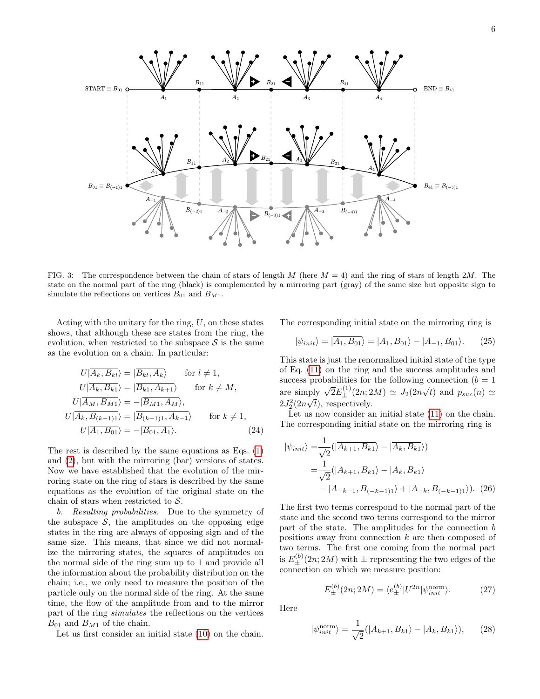

<span id="page-5-0"></span>FIG. 3: The correspondence between the chain of stars of length M (here  $M = 4$ ) and the ring of stars of length 2M. The state on the normal part of the ring (black) is complemented by a mirroring part (gray) of the same size but opposite sign to simulate the reflections on vertices  $B_{01}$  and  $B_{M1}$ .

Acting with the unitary for the ring,  $U$ , on these states shows, that although these are states from the ring, the evolution, when restricted to the subspace  $\mathcal S$  is the same as the evolution on a chain. In particular:

$$
U|\overline{A_k, B_{kl}}\rangle = |\overline{B_{kl}, A_k}\rangle \quad \text{for } l \neq 1,
$$
  
\n
$$
U|\overline{A_k, B_{k1}}\rangle = |\overline{B_{k1}, A_{k+1}}\rangle \quad \text{for } k \neq M,
$$
  
\n
$$
U|\overline{A_M, B_{M1}}\rangle = -|\overline{B_{M1}, A_M}\rangle,
$$
  
\n
$$
U|\overline{A_k, B_{(k-1)1}}\rangle = |\overline{B_{(k-1)1}, A_{k-1}}\rangle \quad \text{for } k \neq 1,
$$
  
\n
$$
U|\overline{A_1, B_{01}}\rangle = -|\overline{B_{01}, A_1}\rangle.
$$
 (24)

The rest is described by the same equations as Eqs. [\(1\)](#page-1-2) and [\(2\)](#page-1-3), but with the mirroring (bar) versions of states. Now we have established that the evolution of the mirroring state on the ring of stars is described by the same equations as the evolution of the original state on the chain of stars when restricted to  $S$ .

b. Resulting probabilities. Due to the symmetry of the subspace  $\mathcal{S}$ , the amplitudes on the opposing edge states in the ring are always of opposing sign and of the same size. This means, that since we did not normalize the mirroring states, the squares of amplitudes on the normal side of the ring sum up to 1 and provide all the information about the probability distribution on the chain; i.e., we only need to measure the position of the particle only on the normal side of the ring. At the same time, the flow of the amplitude from and to the mirror part of the ring simulates the reflections on the vertices  $B_{01}$  and  $B_{M1}$  of the chain.

Let us first consider an initial state [\(10\)](#page-3-5) on the chain.

The corresponding initial state on the mirroring ring is

$$
|\psi_{init}\rangle = |\overline{A_1, B_{01}}\rangle = |A_1, B_{01}\rangle - |A_{-1}, B_{01}\rangle. \tag{25}
$$

This state is just the renormalized initial state of the type of Eq. [\(11\)](#page-3-0) on the ring and the success amplitudes and success probabilities for the following connection  $(b = 1)$ are simply  $\sqrt{2}E_{\pm}^{(1)}(2n;2M) \simeq J_2(2n)$ √ t) and  $p_{suc}(n) \simeq$  $2J_2^2(2n)$ ιp.<br>΄  $t$ , respectively.

Let us now consider an initial state  $(11)$  on the chain. The corresponding initial state on the mirroring ring is

$$
|\psi_{init}\rangle = \frac{1}{\sqrt{2}} (|\overline{A_{k+1}, B_{k1}}\rangle - |\overline{A_k, B_{k1}}\rangle)
$$
  
=  $\frac{1}{\sqrt{2}} (|A_{k+1}, B_{k1}\rangle - |A_k, B_{k1}\rangle$   
-  $|A_{-k-1}, B_{(-k-1)1}\rangle + |A_{-k}, B_{(-k-1)1}\rangle).$  (26)

The first two terms correspond to the normal part of the state and the second two terms correspond to the mirror part of the state. The amplitudes for the connection b positions away from connection k are then composed of two terms. The first one coming from the normal part is  $E_{\pm}^{(b)}(2n; 2M)$  with  $\pm$  representing the two edges of the connection on which we measure position:

$$
E_{\pm}^{(b)}(2n; 2M) = \langle e_{\pm}^{(b)} | U^{2n} | \psi_{init}^{\text{norm}} \rangle. \tag{27}
$$

Here

$$
|\psi_{init}^{\text{norm}}\rangle = \frac{1}{\sqrt{2}}(|A_{k+1}, B_{k1}\rangle - |A_k, B_{k1}\rangle), \qquad (28)
$$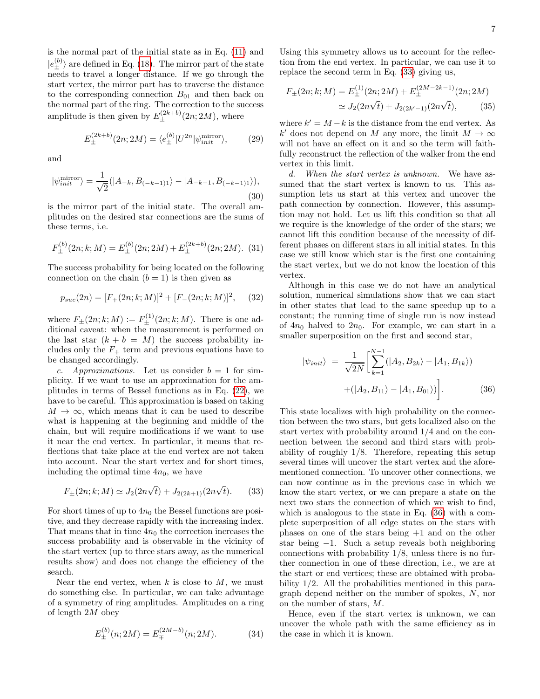is the normal part of the initial state as in Eq. [\(11\)](#page-3-0) and  $|e_{\pm}^{(b)}\rangle$  are defined in Eq. [\(18\)](#page-3-1). The mirror part of the state needs to travel a longer distance. If we go through the start vertex, the mirror part has to traverse the distance to the corresponding connection  $B_{01}$  and then back on the normal part of the ring. The correction to the success amplitude is then given by  $E_{\pm}^{(2k+b)}(2n; 2M)$ , where

$$
E_{\pm}^{(2k+b)}(2n;2M) = \langle e_{\pm}^{(b)} | U^{2n} | \psi_{init}^{\text{mirror}} \rangle, \qquad (29)
$$

and

$$
|\psi_{init}^{\text{mirror}}\rangle = \frac{1}{\sqrt{2}}(|A_{-k}, B_{(-k-1)1}\rangle - |A_{-k-1}, B_{(-k-1)1}\rangle),\tag{30}
$$

is the mirror part of the initial state. The overall amplitudes on the desired star connections are the sums of these terms, i.e.

$$
F_{\pm}^{(b)}(2n;k;M) = E_{\pm}^{(b)}(2n;2M) + E_{\pm}^{(2k+b)}(2n;2M). \tag{31}
$$

The success probability for being located on the following connection on the chain  $(b = 1)$  is then given as

$$
p_{suc}(2n) = [F_{+}(2n; k; M)]^{2} + [F_{-}(2n; k; M)]^{2}, \quad (32)
$$

where  $F_{\pm}(2n;k;M) := F_{\pm}^{(1)}(2n;k;M)$ . There is one additional caveat: when the measurement is performed on the last star  $(k + b = M)$  the success probability includes only the  $F_+$  term and previous equations have to be changed accordingly.

c. Approximations. Let us consider  $b = 1$  for simplicity. If we want to use an approximation for the amplitudes in terms of Bessel functions as in Eq. [\(22\)](#page-4-2), we have to be careful. This approximation is based on taking  $M \to \infty$ , which means that it can be used to describe what is happening at the beginning and middle of the chain, but will require modifications if we want to use it near the end vertex. In particular, it means that reflections that take place at the end vertex are not taken into account. Near the start vertex and for short times, including the optimal time  $4n_0$ , we have

<span id="page-6-0"></span>
$$
F_{\pm}(2n;k;M) \simeq J_2(2n\sqrt{t}) + J_{2(2k+1)}(2n\sqrt{t}). \tag{33}
$$

For short times of up to  $4n_0$  the Bessel functions are positive, and they decrease rapidly with the increasing index. That means that in time  $4n_0$  the correction increases the success probability and is observable in the vicinity of the start vertex (up to three stars away, as the numerical results show) and does not change the efficiency of the search.

Near the end vertex, when  $k$  is close to  $M$ , we must do something else. In particular, we can take advantage of a symmetry of ring amplitudes. Amplitudes on a ring of length 2M obey

$$
E_{\pm}^{(b)}(n;2M) = E_{\mp}^{(2M-b)}(n;2M). \tag{34}
$$

Using this symmetry allows us to account for the reflection from the end vertex. In particular, we can use it to replace the second term in Eq. [\(33\)](#page-6-0) giving us,

$$
F_{\pm}(2n;k;M) = E_{\pm}^{(1)}(2n;2M) + E_{\pm}^{(2M-2k-1)}(2n;2M)
$$
  
\n
$$
\simeq J_2(2n\sqrt{t}) + J_{2(2k'-1)}(2n\sqrt{t}), \qquad (35)
$$

where  $k' = M - k$  is the distance from the end vertex. As k' does not depend on M any more, the limit  $M \to \infty$ will not have an effect on it and so the term will faithfully reconstruct the reflection of the walker from the end vertex in this limit.

d. When the start vertex is unknown. We have assumed that the start vertex is known to us. This assumption lets us start at this vertex and uncover the path connection by connection. However, this assumption may not hold. Let us lift this condition so that all we require is the knowledge of the order of the stars; we cannot lift this condition because of the necessity of different phases on different stars in all initial states. In this case we still know which star is the first one containing the start vertex, but we do not know the location of this vertex.

Although in this case we do not have an analytical solution, numerical simulations show that we can start in other states that lead to the same speedup up to a constant; the running time of single run is now instead of  $4n_0$  halved to  $2n_0$ . For example, we can start in a smaller superposition on the first and second star,

<span id="page-6-1"></span>
$$
|\psi_{init}\rangle = \frac{1}{\sqrt{2N}} \left[ \sum_{k=1}^{N-1} (|A_2, B_{2k}\rangle - |A_1, B_{1k}\rangle) + (|A_2, B_{11}\rangle - |A_1, B_{01}\rangle) \right].
$$
 (36)

This state localizes with high probability on the connection between the two stars, but gets localized also on the start vertex with probability around 1/4 and on the connection between the second and third stars with probability of roughly 1/8. Therefore, repeating this setup several times will uncover the start vertex and the aforementioned connection. To uncover other connections, we can now continue as in the previous case in which we know the start vertex, or we can prepare a state on the next two stars the connection of which we wish to find, which is analogous to the state in Eq. [\(36\)](#page-6-1) with a complete superposition of all edge states on the stars with phases on one of the stars being +1 and on the other star being −1. Such a setup reveals both neighboring connections with probability 1/8, unless there is no further connection in one of these direction, i.e., we are at the start or end vertices; these are obtained with probability 1/2. All the probabilities mentioned in this paragraph depend neither on the number of spokes, N, nor on the number of stars, M.

Hence, even if the start vertex is unknown, we can uncover the whole path with the same efficiency as in the case in which it is known.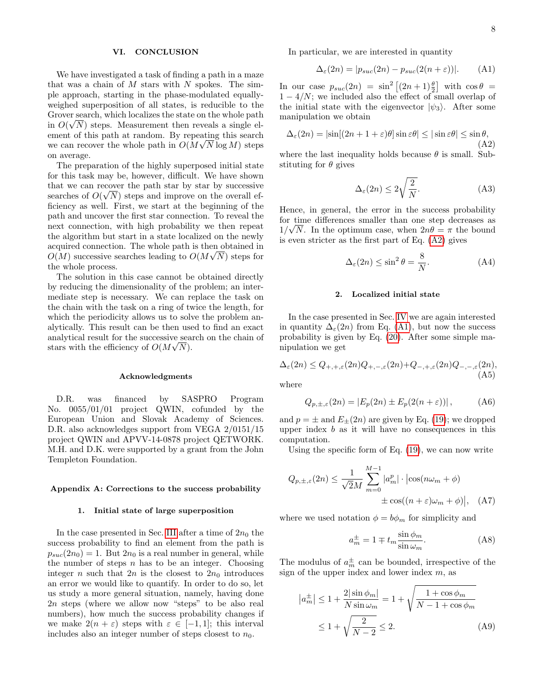## <span id="page-7-0"></span>VI. CONCLUSION

We have investigated a task of finding a path in a maze that was a chain of  $M$  stars with  $N$  spokes. The simple approach, starting in the phase-modulated equallyweighed superposition of all states, is reducible to the Grover search, which localizes the state on the whole path in  $O(\sqrt{N})$  steps. Measurement then reveals a single element of this path at random. By repeating this search we can recover the whole path in  $O(M\sqrt{N}\log M)$  steps on average.

The preparation of the highly superposed initial state for this task may be, however, difficult. We have shown that we can recover the path star by star by successive searches of  $O(\sqrt{N})$  steps and improve on the overall efficiency as well. First, we start at the beginning of the path and uncover the first star connection. To reveal the next connection, with high probability we then repeat the algorithm but start in a state localized on the newly acquired connection. The whole path is then obtained in √  $O(M)$  successive searches leading to  $O(M\sqrt{N})$  steps for the whole process.

The solution in this case cannot be obtained directly by reducing the dimensionality of the problem; an intermediate step is necessary. We can replace the task on the chain with the task on a ring of twice the length, for which the periodicity allows us to solve the problem analytically. This result can be then used to find an exact analytical result for the successive search on the chain of stars with the efficiency of  $O(M\sqrt{N})$ .

#### Acknowledgments

D.R. was financed by SASPRO Program No. 0055/01/01 project QWIN, cofunded by the European Union and Slovak Academy of Sciences. D.R. also acknowledges support from VEGA 2/0151/15 project QWIN and APVV-14-0878 project QETWORK. M.H. and D.K. were supported by a grant from the John Templeton Foundation.

### Appendix A: Corrections to the success probability

### <span id="page-7-1"></span>1. Initial state of large superposition

In the case presented in Sec. [III](#page-1-1) after a time of  $2n_0$  the success probability to find an element from the path is  $p_{suc}(2n_0) = 1$ . But  $2n_0$  is a real number in general, while the number of steps  $n$  has to be an integer. Choosing integer n such that  $2n$  is the closest to  $2n_0$  introduces an error we would like to quantify. In order to do so, let us study a more general situation, namely, having done 2n steps (where we allow now "steps" to be also real numbers), how much the success probability changes if we make  $2(n + \varepsilon)$  steps with  $\varepsilon \in [-1, 1]$ ; this interval includes also an integer number of steps closest to  $n_0$ .

In particular, we are interested in quantity

<span id="page-7-4"></span>
$$
\Delta_{\varepsilon}(2n) = |p_{suc}(2n) - p_{suc}(2(n+\varepsilon))|.
$$
 (A1)

In our case  $p_{suc}(2n) = \sin^2 \left[ (2n+1) \frac{\theta}{2} \right]$  with  $\cos \theta =$  $1 - 4/N$ ; we included also the effect of small overlap of the initial state with the eigenvector  $|\psi_3\rangle$ . After some manipulation we obtain

<span id="page-7-3"></span>
$$
\Delta_{\varepsilon}(2n) = |\sin[(2n+1+\varepsilon)\theta] \sin \varepsilon \theta| \le |\sin \varepsilon \theta| \le \sin \theta,
$$
\n(A2)

where the last inequality holds because  $\theta$  is small. Substituting for  $\theta$  gives

$$
\Delta_{\varepsilon}(2n) \le 2\sqrt{\frac{2}{N}}.\tag{A3}
$$

Hence, in general, the error in the success probability for time differences smaller than one step decreases as √  $1/\sqrt{N}$ . In the optimum case, when  $2n\theta = \pi$  the bound is even stricter as the first part of Eq. [\(A2\)](#page-7-3) gives

$$
\Delta_{\varepsilon}(2n) \le \sin^2 \theta = \frac{8}{N}.\tag{A4}
$$

### <span id="page-7-2"></span>2. Localized initial state

In the case presented in Sec. [IV](#page-2-0) we are again interested in quantity  $\Delta_{\epsilon}(2n)$  from Eq. [\(A1\)](#page-7-4), but now the success probability is given by Eq. [\(20\)](#page-3-3). After some simple manipulation we get

<span id="page-7-5"></span>
$$
\Delta_{\varepsilon}(2n) \le Q_{+,+,\varepsilon}(2n)Q_{+,-,\varepsilon}(2n) + Q_{-,+,\varepsilon}(2n)Q_{-,-,\varepsilon}(2n),
$$
\n(A5)

where

$$
Q_{p,\pm,\varepsilon}(2n) = |E_p(2n) \pm E_p(2(n+\varepsilon))|,\tag{A6}
$$

and  $p = \pm$  and  $E_{\pm}(2n)$  are given by Eq. [\(19\)](#page-3-2); we dropped upper index  $b$  as it will have no consequences in this computation.

Using the specific form of Eq. [\(19\)](#page-3-2), we can now write

$$
Q_{p,\pm,\varepsilon}(2n) \le \frac{1}{\sqrt{2}M} \sum_{m=0}^{M-1} |a_m^p| \cdot |\cos(n\omega_m + \phi) + \cos((n+\varepsilon)\omega_m + \phi)|, \quad (A7)
$$

where we used notation  $\phi = b\phi_m$  for simplicity and

$$
a_m^{\pm} = 1 \mp t_m \frac{\sin \phi_m}{\sin \omega_m}.
$$
 (A8)

The modulus of  $a_m^{\pm}$  can be bounded, irrespective of the sign of the upper index and lower index  $m$ , as

$$
|a_m^{\pm}| \le 1 + \frac{2|\sin\phi_m|}{N\sin\omega_m} = 1 + \sqrt{\frac{1+\cos\phi_m}{N-1+\cos\phi_m}}
$$
  

$$
\le 1 + \sqrt{\frac{2}{N-2}} \le 2.
$$
 (A9)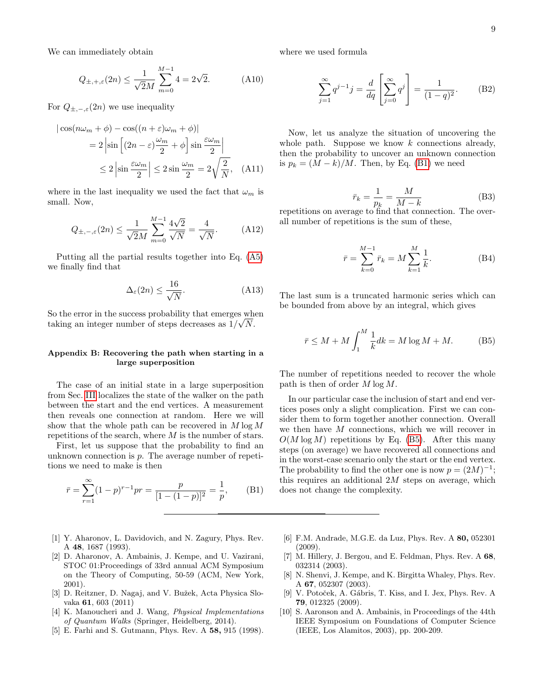We can immediately obtain

$$
Q_{\pm, +, \varepsilon}(2n) \le \frac{1}{\sqrt{2}M} \sum_{m=0}^{M-1} 4 = 2\sqrt{2}.
$$
 (A10)

For  $Q_{\pm,-,\varepsilon}(2n)$  we use inequality

$$
|\cos(n\omega_m + \phi) - \cos((n + \varepsilon)\omega_m + \phi)|
$$
  
=  $2 |\sin \left[ (2n - \varepsilon) \frac{\omega_m}{2} + \phi \right] \sin \frac{\varepsilon \omega_m}{2} |$   
 $\leq 2 |\sin \frac{\varepsilon \omega_m}{2}| \leq 2 \sin \frac{\omega_m}{2} = 2\sqrt{\frac{2}{N}},$  (A11)

where in the last inequality we used the fact that  $\omega_m$  is small. Now,

$$
Q_{\pm, -, \varepsilon}(2n) \le \frac{1}{\sqrt{2}M} \sum_{m=0}^{M-1} \frac{4\sqrt{2}}{\sqrt{N}} = \frac{4}{\sqrt{N}}.
$$
 (A12)

Putting all the partial results together into Eq. [\(A5\)](#page-7-5) we finally find that

$$
\Delta_{\varepsilon}(2n) \le \frac{16}{\sqrt{N}}.\tag{A13}
$$

So the error in the success probability that emerges when taking an integer number of steps decreases as  $1/\sqrt{N}$ .

### <span id="page-8-8"></span>Appendix B: Recovering the path when starting in a large superposition

The case of an initial state in a large superposition from Sec. [III](#page-1-1) localizes the state of the walker on the path between the start and the end vertices. A measurement then reveals one connection at random. Here we will show that the whole path can be recovered in  $M \log M$ repetitions of the search, where  $M$  is the number of stars.

First, let us suppose that the probability to find an unknown connection is  $p$ . The average number of repetitions we need to make is then

<span id="page-8-9"></span>
$$
\bar{r} = \sum_{r=1}^{\infty} (1-p)^{r-1} pr = \frac{p}{[1-(1-p)]^2} = \frac{1}{p},
$$
 (B1)

- <span id="page-8-0"></span>[1] Y. Aharonov, L. Davidovich, and N. Zagury, Phys. Rev. A 48, 1687 (1993).
- <span id="page-8-1"></span>[2] D. Aharonov, A. Ambainis, J. Kempe, and U. Vazirani, STOC 01:Proceedings of 33rd annual ACM Symposium on the Theory of Computing, 50-59 (ACM, New York, 2001).
- <span id="page-8-2"></span>[3] D. Reitzner, D. Nagaj, and V. Bužek, Acta Physica Slovaka 61, 603 (2011)
- <span id="page-8-3"></span>[4] K. Manoucheri and J. Wang, *Physical Implementations* of Quantum Walks (Springer, Heidelberg, 2014).
- <span id="page-8-4"></span>[5] E. Farhi and S. Gutmann, Phys. Rev. A 58, 915 (1998).

where we used formula

$$
\sum_{j=1}^{\infty} q^{j-1} j = \frac{d}{dq} \left[ \sum_{j=0}^{\infty} q^j \right] = \frac{1}{(1-q)^2}.
$$
 (B2)

Now, let us analyze the situation of uncovering the whole path. Suppose we know  $k$  connections already, then the probability to uncover an unknown connection is  $p_k = (M - k)/M$ . Then, by Eq. [\(B1\)](#page-8-9) we need

$$
\bar{r}_k = \frac{1}{p_k} = \frac{M}{M - k} \tag{B3}
$$

repetitions on average to find that connection. The overall number of repetitions is the sum of these,

$$
\bar{r} = \sum_{k=0}^{M-1} \bar{r}_k = M \sum_{k=1}^{M} \frac{1}{k}.
$$
 (B4)

The last sum is a truncated harmonic series which can be bounded from above by an integral, which gives

<span id="page-8-10"></span>
$$
\bar{r} \le M + M \int_1^M \frac{1}{k} dk = M \log M + M. \tag{B5}
$$

The number of repetitions needed to recover the whole path is then of order  $M \log M$ .

In our particular case the inclusion of start and end vertices poses only a slight complication. First we can consider them to form together another connection. Overall we then have  $M$  connections, which we will recover in  $O(M \log M)$  repetitions by Eq. [\(B5\)](#page-8-10). After this many steps (on average) we have recovered all connections and in the worst-case scenario only the start or the end vertex. The probability to find the other one is now  $p = (2M)^{-1}$ ; this requires an additional  $2M$  steps on average, which does not change the complexity.

- <span id="page-8-5"></span>[6] F.M. Andrade, M.G.E. da Luz, Phys. Rev. A 80, 052301 (2009).
- <span id="page-8-6"></span>[7] M. Hillery, J. Bergou, and E. Feldman, Phys. Rev. A 68, 032314 (2003).
- <span id="page-8-7"></span>[8] N. Shenvi, J. Kempe, and K. Birgitta Whaley, Phys. Rev. A 67, 052307 (2003).
- [9] V. Potoček, A. Gábris, T. Kiss, and I. Jex, Phys. Rev. A 79, 012325 (2009).
- [10] S. Aaronson and A. Ambainis, in Proceedings of the 44th IEEE Symposium on Foundations of Computer Science (IEEE, Los Alamitos, 2003), pp. 200-209.